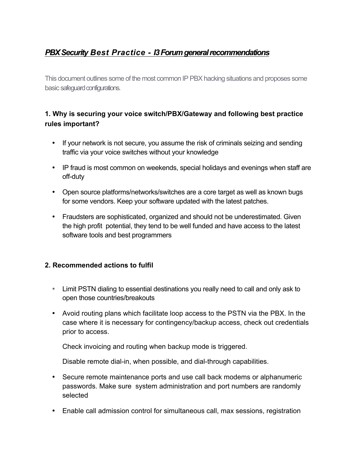## **PBX Security Best Practice -** *I3* **Forum general recommendations**

This document outlines some of the most common IP PBX hacking situations and proposes some basic safeguard configurations.

## **1. Why is securing your voice switch/PBX/Gateway and following best practice rules important?**

- If your network is not secure, you assume the risk of criminals seizing and sending traffic via your voice switches without your knowledge
- IP fraud is most common on weekends, special holidays and evenings when staff are off-duty
- Open source platforms/networks/switches are a core target as well as known bugs for some vendors. Keep your software updated with the latest patches.
- Fraudsters are sophisticated, organized and should not be underestimated. Given the high profit potential, they tend to be well funded and have access to the latest software tools and best programmers

## **2. Recommended actions to fulfil**

- Limit PSTN dialing to essential destinations you really need to call and only ask to open those countries/breakouts
- Avoid routing plans which facilitate loop access to the PSTN via the PBX. In the case where it is necessary for contingency/backup access, check out credentials prior to access.

Check invoicing and routing when backup mode is triggered.

Disable remote dial-in, when possible, and dial-through capabilities.

- Secure remote maintenance ports and use call back modems or alphanumeric passwords. Make sure system administration and port numbers are randomly selected
- Enable call admission control for simultaneous call, max sessions, registration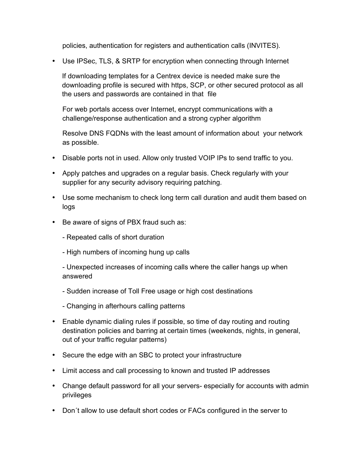policies, authentication for registers and authentication calls (INVITES).

• Use IPSec, TLS, & SRTP for encryption when connecting through Internet

If downloading templates for a Centrex device is needed make sure the downloading profile is secured with https, SCP, or other secured protocol as all the users and passwords are contained in that file

For web portals access over Internet, encrypt communications with a challenge/response authentication and a strong cypher algorithm

Resolve DNS FQDNs with the least amount of information about your network as possible.

- Disable ports not in used. Allow only trusted VOIP IPs to send traffic to you.
- Apply patches and upgrades on a regular basis. Check regularly with your supplier for any security advisory requiring patching.
- Use some mechanism to check long term call duration and audit them based on logs
- Be aware of signs of PBX fraud such as:
	- Repeated calls of short duration
	- High numbers of incoming hung up calls

- Unexpected increases of incoming calls where the caller hangs up when answered

- Sudden increase of Toll Free usage or high cost destinations
- Changing in afterhours calling patterns
- Enable dynamic dialing rules if possible, so time of day routing and routing destination policies and barring at certain times (weekends, nights, in general, out of your traffic regular patterns)
- Secure the edge with an SBC to protect your infrastructure
- Limit access and call processing to known and trusted IP addresses
- Change default password for all your servers- especially for accounts with admin privileges
- Don´t allow to use default short codes or FACs configured in the server to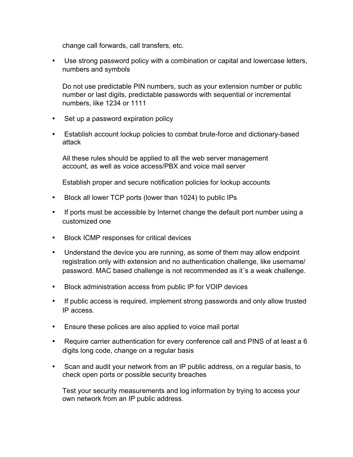change call forwards, call transfers, etc.

• Use strong password policy with a combination or capital and lowercase letters, numbers and symbols

Do not use predictable PIN numbers, such as your extension number or public number or last digits, predictable passwords with sequential or incremental numbers, like 1234 or 1111

- Set up a password expiration policy
- Establish account lockup policies to combat brute-force and dictionary-based attack

All these rules should be applied to all the web server management account, as well as voice access/PBX and voice mail server

Establish proper and secure notification policies for lockup accounts

- Block all lower TCP ports (lower than 1024) to public IPs
- If ports must be accessible by Internet change the default port number using a customized one
- Block ICMP responses for critical devices
- Understand the device you are running, as some of them may allow endpoint registration only with extension and no authentication challenge, like username/ password. MAC based challenge is not recommended as it´s a weak challenge.
- Block administration access from public IP for VOIP devices
- If public access is required, implement strong passwords and only allow trusted IP access.
- Ensure these polices are also applied to voice mail portal
- Require carrier authentication for every conference call and PINS of at least a 6 digits long code, change on a regular basis
- Scan and audit your network from an IP public address, on a regular basis, to check open ports or possible security breaches

Test your security measurements and log information by trying to access your own network from an IP public address.